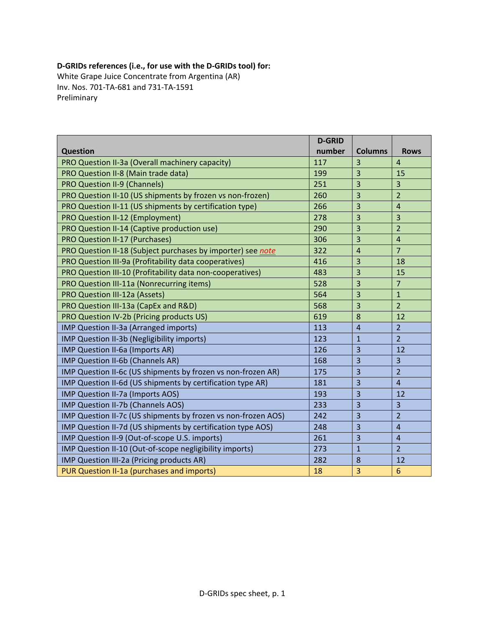## **D‐GRIDs references (i.e., for use with the D‐GRIDs tool) for:**

White Grape Juice Concentrate from Argentina (AR) Inv. Nos. 701‐TA‐681 and 731‐TA‐1591 Preliminary

|                                                               | <b>D-GRID</b> |                |                         |
|---------------------------------------------------------------|---------------|----------------|-------------------------|
| <b>Question</b>                                               | number        | <b>Columns</b> | <b>Rows</b>             |
| PRO Question II-3a (Overall machinery capacity)               | 117           | 3              | $\overline{4}$          |
| PRO Question II-8 (Main trade data)                           | 199           | 3              | 15                      |
| <b>PRO Question II-9 (Channels)</b>                           | 251           | 3              | 3                       |
| PRO Question II-10 (US shipments by frozen vs non-frozen)     | 260           | 3              | $\overline{2}$          |
| PRO Question II-11 (US shipments by certification type)       | 266           | 3              | $\overline{4}$          |
| PRO Question II-12 (Employment)                               | 278           | 3              | $\overline{3}$          |
| PRO Question II-14 (Captive production use)                   | 290           | 3              | $\overline{2}$          |
| <b>PRO Question II-17 (Purchases)</b>                         | 306           | 3              | $\overline{\mathbf{4}}$ |
| PRO Question II-18 (Subject purchases by importer) see note   | 322           | $\overline{4}$ | $\overline{7}$          |
| PRO Question III-9a (Profitability data cooperatives)         | 416           | 3              | 18                      |
| PRO Question III-10 (Profitability data non-cooperatives)     | 483           | 3              | 15                      |
| PRO Question III-11a (Nonrecurring items)                     | 528           | 3              | $\overline{7}$          |
| <b>PRO Question III-12a (Assets)</b>                          | 564           | 3              | $\mathbf{1}$            |
| PRO Question III-13a (CapEx and R&D)                          | 568           | 3              | $\overline{2}$          |
| PRO Question IV-2b (Pricing products US)                      | 619           | 8              | 12                      |
| IMP Question II-3a (Arranged imports)                         | 113           | $\overline{4}$ | $\overline{2}$          |
| IMP Question II-3b (Negligibility imports)                    | 123           | $\mathbf{1}$   | $\overline{2}$          |
| IMP Question II-6a (Imports AR)                               | 126           | 3              | 12                      |
| IMP Question II-6b (Channels AR)                              | 168           | 3              | $\overline{3}$          |
| IMP Question II-6c (US shipments by frozen vs non-frozen AR)  | 175           | 3              | $\overline{2}$          |
| IMP Question II-6d (US shipments by certification type AR)    | 181           | 3              | $\overline{4}$          |
| IMP Question II-7a (Imports AOS)                              | 193           | 3              | 12                      |
| IMP Question II-7b (Channels AOS)                             | 233           | 3              | $\overline{\mathbf{3}}$ |
| IMP Question II-7c (US shipments by frozen vs non-frozen AOS) | 242           | 3              | $\overline{2}$          |
| IMP Question II-7d (US shipments by certification type AOS)   | 248           | 3              | $\overline{4}$          |
| IMP Question II-9 (Out-of-scope U.S. imports)                 | 261           | 3              | $\overline{4}$          |
| IMP Question II-10 (Out-of-scope negligibility imports)       | 273           | $\mathbf{1}$   | $\overline{2}$          |
| IMP Question III-2a (Pricing products AR)                     | 282           | 8              | 12                      |
| PUR Question II-1a (purchases and imports)                    | 18            | 3              | 6                       |